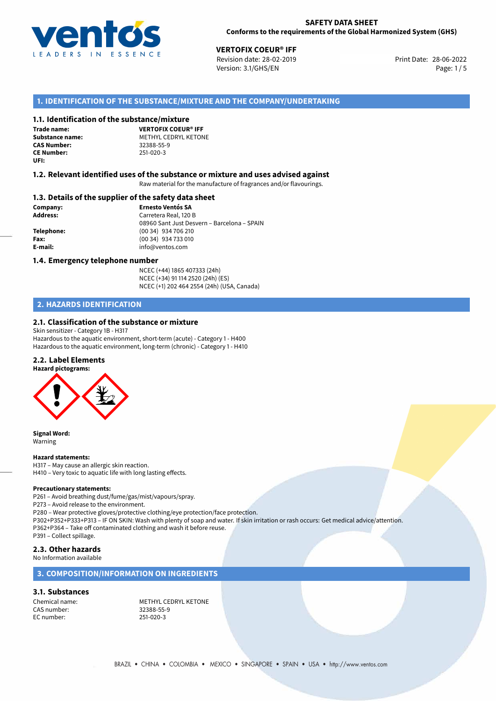

# **28-06-2022 VERTOFIX COEUR® IFF**<br>28-06-2022 Revision date: 28-02-2019

Revision date: 28-02-2019 Version: 3.1/GHS/EN Page: 1 / 5

# **1. IDENTIFICATION OF THE SUBSTANCE/MIXTURE AND THE COMPANY/UNDERTAKING**

#### **1.1. Identification of the substance/mixture**

**Trade name: CAS Number: CE Number:** 251-020-3 **UFI:**

**VERTOFIX COEUR® IFF Substance name:** METHYL CEDRYL KETONE<br> **CAS Number:** 32388-55-9

#### **1.2. Relevant identified uses of the substance or mixture and uses advised against**

Raw material for the manufacture of fragrances and/or flavourings.

#### **1.3. Details of the supplier of the safety data sheet**

**Company: Ernesto Ventós SA Address:** Carretera Real, 120 B 08960 Sant Just Desvern – Barcelona – SPAIN **Telephone:** (00 34) 934 706 210 **Fax:** (00 34) 934 733 010 **E-mail:** info@ventos.com

#### **1.4. Emergency telephone number**

NCEC (+44) 1865 407333 (24h) NCEC (+34) 91 114 2520 (24h) (ES) NCEC (+1) 202 464 2554 (24h) (USA, Canada)

# **2. HAZARDS IDENTIFICATION**

# **2.1. Classification of the substance or mixture**

Skin sensitizer - Category 1B - H317 Hazardous to the aquatic environment, short-term (acute) - Category 1 - H400 Hazardous to the aquatic environment, long-term (chronic) - Category 1 - H410

# **2.2. Label Elements**



**Signal Word:** Warning

#### **Hazard statements:**

H317 – May cause an allergic skin reaction. H410 – Very toxic to aquatic life with long lasting effects.

#### **Precautionary statements:**

P261 – Avoid breathing dust/fume/gas/mist/vapours/spray.

P273 – Avoid release to the environment.

P280 – Wear protective gloves/protective clothing/eye protection/face protection.

P302+P352+P333+P313 – IF ON SKIN: Wash with plenty of soap and water. If skin irritation or rash occurs: Get medical advice/attention. P362+P364 – Take off contaminated clothing and wash it before reuse.

P391 – Collect spillage.

# **2.3. Other hazards**

No Information available

# **3. COMPOSITION/INFORMATION ON INGREDIENTS**

#### **3.1. Substances**

CAS number: 32388-55-<br>EC number: 251-020-3 EC number:

Chemical name: METHYL CEDRYL KETONE<br>
CAS number: 32388-55-9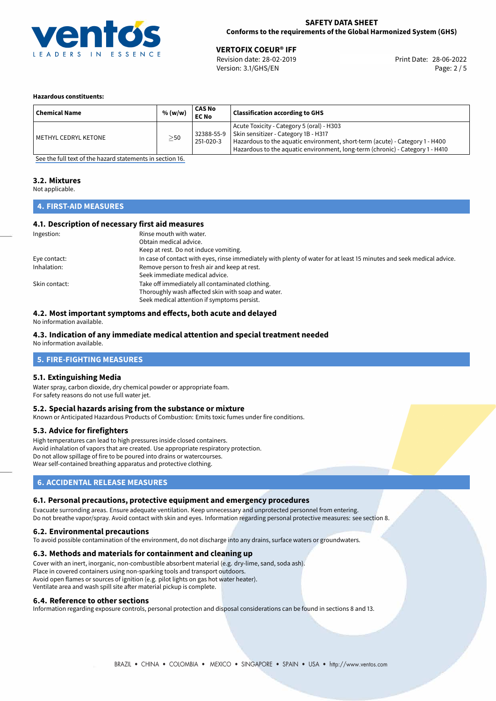

### **SAFETY DATA SHEET Conforms to the requirements of the Global Harmonized System (GHS)**

28-06-2022 **VERTOFIX COEUR® IFF** Revision date: 28-02-2019 Print Date: Version: 3.1/GHS/EN Page: 2 / 5

#### **Hazardous constituents:**

| <b>Chemical Name</b> | % (w/w)   | CAS No<br><b>EC No</b>  | <b>Classification according to GHS</b>                                                                                                                                                                                                             |
|----------------------|-----------|-------------------------|----------------------------------------------------------------------------------------------------------------------------------------------------------------------------------------------------------------------------------------------------|
| METHYL CEDRYL KETONE | $\geq$ 50 | 32388-55-9<br>251-020-3 | Acute Toxicity - Category 5 (oral) - H303<br>Skin sensitizer - Category 1B - H317<br>Hazardous to the aquatic environment, short-term (acute) - Category 1 - H400<br>Hazardous to the aquatic environment, long-term (chronic) - Category 1 - H410 |

[See the full text of the hazard statements in section 16.](#page-4-0)

# **3.2. Mixtures**

Not applicable.

# **4. FIRST-AID MEASURES**

### **4.1. Description of necessary first aid measures**

| Ingestion:    | Rinse mouth with water.                                                                                               |
|---------------|-----------------------------------------------------------------------------------------------------------------------|
|               | Obtain medical advice.                                                                                                |
|               | Keep at rest. Do not induce vomiting.                                                                                 |
| Eye contact:  | In case of contact with eyes, rinse immediately with plenty of water for at least 15 minutes and seek medical advice. |
| Inhalation:   | Remove person to fresh air and keep at rest.                                                                          |
|               | Seek immediate medical advice.                                                                                        |
| Skin contact: | Take off immediately all contaminated clothing.                                                                       |
|               | Thoroughly wash affected skin with soap and water.                                                                    |
|               | Seek medical attention if symptoms persist.                                                                           |

## **4.2. Most important symptoms and effects, both acute and delayed**

No information available.

# **4.3. Indication of any immediate medical attention and special treatment needed**

No information available.

# **5. FIRE-FIGHTING MEASURES**

#### **5.1. Extinguishing Media**

Water spray, carbon dioxide, dry chemical powder or appropriate foam. For safety reasons do not use full water jet.

#### **5.2. Special hazards arising from the substance or mixture**

Known or Anticipated Hazardous Products of Combustion: Emits toxic fumes under fire conditions.

#### **5.3. Advice for firefighters**

High temperatures can lead to high pressures inside closed containers. Avoid inhalation of vapors that are created. Use appropriate respiratory protection. Do not allow spillage of fire to be poured into drains or watercourses. Wear self-contained breathing apparatus and protective clothing.

# **6. ACCIDENTAL RELEASE MEASURES**

#### **6.1. Personal precautions, protective equipment and emergency procedures**

Evacuate surronding areas. Ensure adequate ventilation. Keep unnecessary and unprotected personnel from entering. Do not breathe vapor/spray. Avoid contact with skin and eyes. Information regarding personal protective measures: see section 8.

#### **6.2. Environmental precautions**

To avoid possible contamination of the environment, do not discharge into any drains, surface waters or groundwaters.

#### **6.3. Methods and materials for containment and cleaning up**

Cover with an inert, inorganic, non-combustible absorbent material (e.g. dry-lime, sand, soda ash). Place in covered containers using non-sparking tools and transport outdoors. Avoid open flames or sources of ignition (e.g. pilot lights on gas hot water heater). Ventilate area and wash spill site after material pickup is complete.

#### **6.4. Reference to other sections**

Information regarding exposure controls, personal protection and disposal considerations can be found in sections 8 and 13.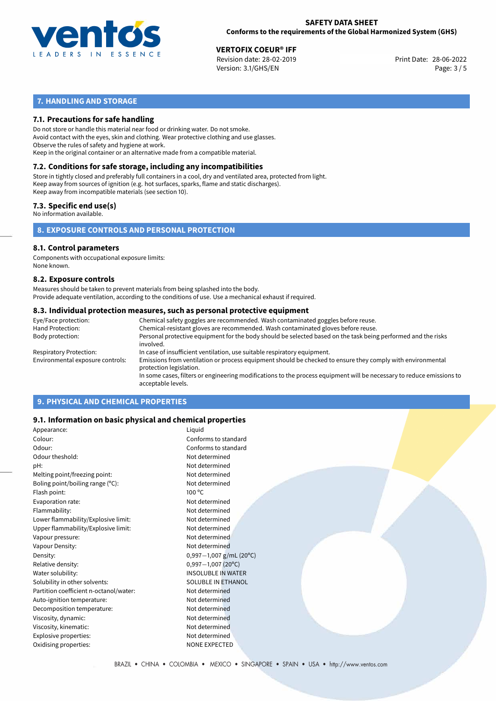

28-06-2022 **VERTOFIX COEUR® IFF** Revision date: 28-02-2019 Print Date: Version: 3.1/GHS/EN Page: 3 / 5

# **7. HANDLING AND STORAGE**

### **7.1. Precautions for safe handling**

Do not store or handle this material near food or drinking water. Do not smoke. Avoid contact with the eyes, skin and clothing. Wear protective clothing and use glasses. Observe the rules of safety and hygiene at work. Keep in the original container or an alternative made from a compatible material.

# **7.2. Conditions for safe storage, including any incompatibilities**

Store in tightly closed and preferably full containers in a cool, dry and ventilated area, protected from light. Keep away from sources of ignition (e.g. hot surfaces, sparks, flame and static discharges). Keep away from incompatible materials (see section 10).

#### **7.3. Specific end use(s)**

No information available.

**8. EXPOSURE CONTROLS AND PERSONAL PROTECTION**

#### **8.1. Control parameters**

Components with occupational exposure limits: None known.

#### **8.2. Exposure controls**

Measures should be taken to prevent materials from being splashed into the body. Provide adequate ventilation, according to the conditions of use. Use a mechanical exhaust if required.

#### **8.3. Individual protection measures, such as personal protective equipment**

| Eye/Face protection:             | Chemical safety goggles are recommended. Wash contaminated goggles before reuse.                                                            |  |  |  |  |
|----------------------------------|---------------------------------------------------------------------------------------------------------------------------------------------|--|--|--|--|
| Hand Protection:                 | Chemical-resistant gloves are recommended. Wash contaminated gloves before reuse.                                                           |  |  |  |  |
| Body protection:                 | Personal protective equipment for the body should be selected based on the task being performed and the risks<br>involved.                  |  |  |  |  |
| Respiratory Protection:          | In case of insufficient ventilation, use suitable respiratory equipment.                                                                    |  |  |  |  |
| Environmental exposure controls: | Emissions from ventilation or process equipment should be checked to ensure they comply with environmental<br>protection legislation.       |  |  |  |  |
|                                  | In some cases, filters or engineering modifications to the process equipment will be necessary to reduce emissions to<br>acceptable levels. |  |  |  |  |
|                                  |                                                                                                                                             |  |  |  |  |

# **9. PHYSICAL AND CHEMICAL PROPERTIES**

### **9.1. Information on basic physical and chemical properties**

| Appearance:                            | Liquid                    |
|----------------------------------------|---------------------------|
| Colour:                                | Conforms to standard      |
| Odour:                                 | Conforms to standard      |
| Odour theshold:                        | Not determined            |
| pH:                                    | Not determined            |
| Melting point/freezing point:          | Not determined            |
| Boling point/boiling range (°C):       | Not determined            |
| Flash point:                           | $100^{\circ}$ C           |
| Evaporation rate:                      | Not determined            |
| Flammability:                          | Not determined            |
| Lower flammability/Explosive limit:    | Not determined            |
| Upper flammability/Explosive limit:    | Not determined            |
| Vapour pressure:                       | Not determined            |
| Vapour Density:                        | Not determined            |
| Density:                               | $0,997-1,007$ g/mL (20°C) |
| Relative density:                      | $0,997 - 1,007$ (20°C)    |
| Water solubility:                      | <b>INSOLUBLE IN WATER</b> |
| Solubility in other solvents:          | <b>SOLUBLE IN ETHANOL</b> |
| Partition coefficient n-octanol/water: | Not determined            |
| Auto-ignition temperature:             | Not determined            |
| Decomposition temperature:             | Not determined            |
| Viscosity, dynamic:                    | Not determined            |
| Viscosity, kinematic:                  | Not determined            |
| Explosive properties:                  | Not determined            |
| Oxidising properties:                  | <b>NONE EXPECTED</b>      |
|                                        |                           |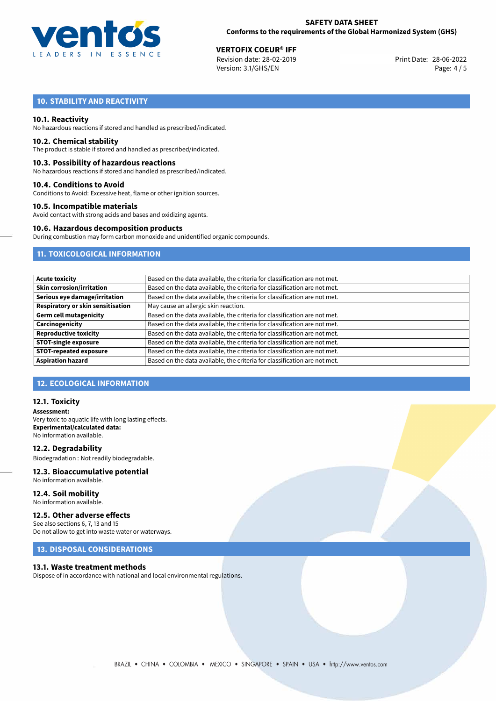

28-06-2022 **VERTOFIX COEUR® IFF** Revision date: 28-02-2019 Print Date: Version: 3.1/GHS/EN Page: 4 / 5

# **10. STABILITY AND REACTIVITY**

#### **10.1. Reactivity**

No hazardous reactions if stored and handled as prescribed/indicated.

#### **10.2. Chemical stability**

The product is stable if stored and handled as prescribed/indicated.

#### **10.3. Possibility of hazardous reactions**

No hazardous reactions if stored and handled as prescribed/indicated.

#### **10.4. Conditions to Avoid**

Conditions to Avoid: Excessive heat, flame or other ignition sources.

#### **10.5. Incompatible materials**

Avoid contact with strong acids and bases and oxidizing agents.

#### **10.6. Hazardous decomposition products**

During combustion may form carbon monoxide and unidentified organic compounds.

# **11. TOXICOLOGICAL INFORMATION**

| <b>Acute toxicity</b>             | Based on the data available, the criteria for classification are not met. |  |  |
|-----------------------------------|---------------------------------------------------------------------------|--|--|
| Skin corrosion/irritation         | Based on the data available, the criteria for classification are not met. |  |  |
| Serious eye damage/irritation     | Based on the data available, the criteria for classification are not met. |  |  |
| Respiratory or skin sensitisation | May cause an allergic skin reaction.                                      |  |  |
| Germ cell mutagenicity            | Based on the data available, the criteria for classification are not met. |  |  |
| Carcinogenicity                   | Based on the data available, the criteria for classification are not met. |  |  |
| <b>Reproductive toxicity</b>      | Based on the data available, the criteria for classification are not met. |  |  |
| <b>STOT-single exposure</b>       | Based on the data available, the criteria for classification are not met. |  |  |
| <b>STOT-repeated exposure</b>     | Based on the data available, the criteria for classification are not met. |  |  |
| <b>Aspiration hazard</b>          | Based on the data available, the criteria for classification are not met. |  |  |

### **12. ECOLOGICAL INFORMATION**

#### **12.1. Toxicity**

**Assessment:** Very toxic to aquatic life with long lasting effects. **Experimental/calculated data:** No information available.

**12.2. Degradability** Biodegradation : Not readily biodegradable.

# **12.3. Bioaccumulative potential**

No information available.

**12.4. Soil mobility** No information available.

### **12.5. Other adverse effects**

See also sections 6, 7, 13 and 15 Do not allow to get into waste water or waterways.

### **13. DISPOSAL CONSIDERATIONS**

#### **13.1. Waste treatment methods**

Dispose of in accordance with national and local environmental regulations.